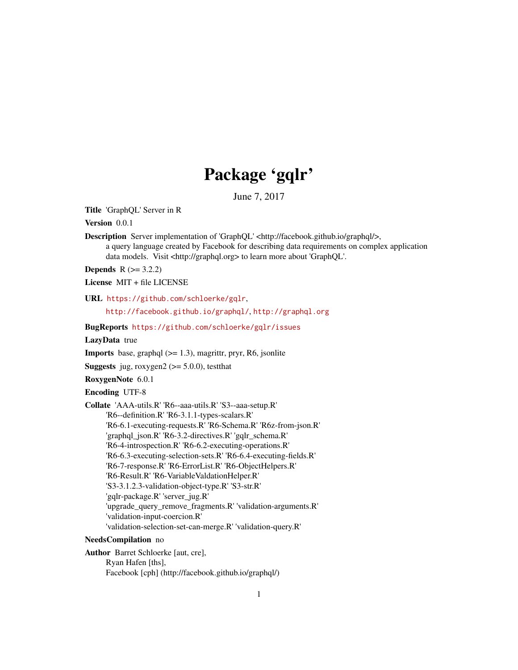## Package 'gqlr'

June 7, 2017

Title 'GraphQL' Server in R

Version 0.0.1

Description Server implementation of 'GraphQL' <http://facebook.github.io/graphql/>, a query language created by Facebook for describing data requirements on complex application data models. Visit <http://graphql.org> to learn more about 'GraphQL'.

**Depends**  $R (= 3.2.2)$ 

License MIT + file LICENSE

URL <https://github.com/schloerke/gqlr>,

<http://facebook.github.io/graphql/>, <http://graphql.org>

BugReports <https://github.com/schloerke/gqlr/issues>

LazyData true

**Imports** base, graphql  $(>= 1.3)$ , magrittr, pryr, R6, jsonlite

**Suggests** jug, roxygen2 ( $>= 5.0.0$ ), testthat

RoxygenNote 6.0.1

Encoding UTF-8

Collate 'AAA-utils.R' 'R6--aaa-utils.R' 'S3--aaa-setup.R' 'R6--definition.R' 'R6-3.1.1-types-scalars.R' 'R6-6.1-executing-requests.R' 'R6-Schema.R' 'R6z-from-json.R' 'graphql\_json.R' 'R6-3.2-directives.R' 'gqlr\_schema.R' 'R6-4-introspection.R' 'R6-6.2-executing-operations.R' 'R6-6.3-executing-selection-sets.R' 'R6-6.4-executing-fields.R' 'R6-7-response.R' 'R6-ErrorList.R' 'R6-ObjectHelpers.R' 'R6-Result.R' 'R6-VariableValdationHelper.R' 'S3-3.1.2.3-validation-object-type.R' 'S3-str.R' 'gqlr-package.R' 'server\_jug.R' 'upgrade\_query\_remove\_fragments.R' 'validation-arguments.R' 'validation-input-coercion.R' 'validation-selection-set-can-merge.R' 'validation-query.R'

## NeedsCompilation no

Author Barret Schloerke [aut, cre], Ryan Hafen [ths], Facebook [cph] (http://facebook.github.io/graphql/)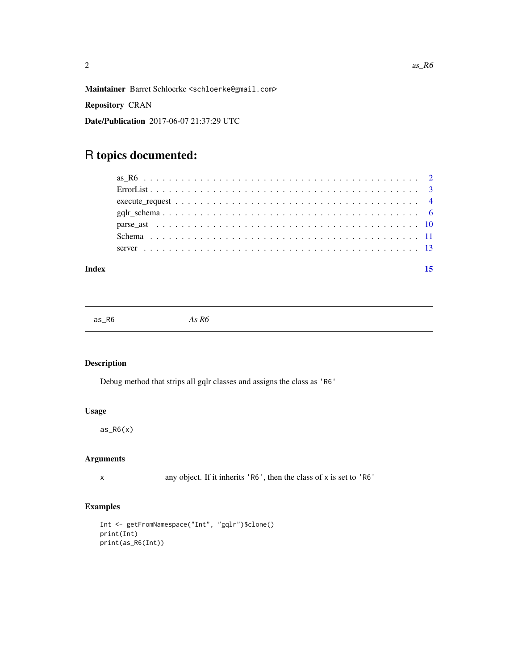<span id="page-1-0"></span>Maintainer Barret Schloerke <schloerke@gmail.com>

Repository CRAN

Date/Publication 2017-06-07 21:37:29 UTC

## R topics documented:

#### **Index** [15](#page-14-0)

as\_R6 *As R6*

## Description

Debug method that strips all gqlr classes and assigns the class as 'R6'

## Usage

 $as_R6(x)$ 

## Arguments

x any object. If it inherits 'R6', then the class of x is set to 'R6'

```
Int <- getFromNamespace("Int", "gqlr")$clone()
print(Int)
print(as_R6(Int))
```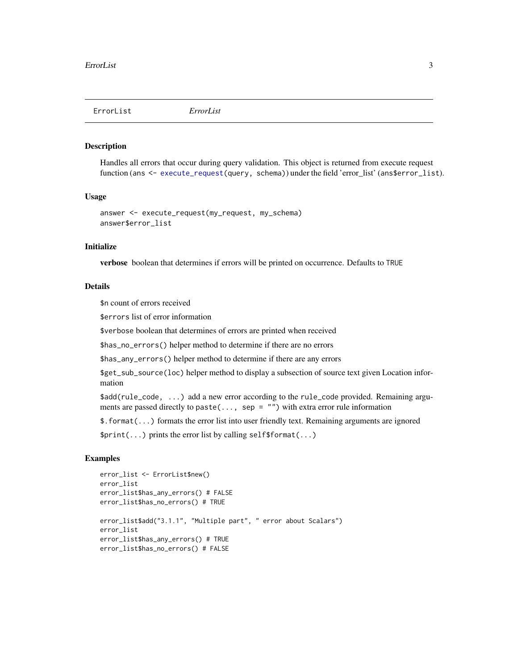<span id="page-2-0"></span>ErrorList *ErrorList*

#### **Description**

Handles all errors that occur during query validation. This object is returned from execute request function (ans <- [execute\\_request\(](#page-3-1)query, schema)) under the field 'error\_list' (ans\$error\_list).

#### Usage

```
answer <- execute_request(my_request, my_schema)
answer$error_list
```
## Initialize

verbose boolean that determines if errors will be printed on occurrence. Defaults to TRUE

#### Details

\$n count of errors received

\$errors list of error information

\$verbose boolean that determines of errors are printed when received

\$has\_no\_errors() helper method to determine if there are no errors

\$has\_any\_errors() helper method to determine if there are any errors

\$get\_sub\_source(loc) helper method to display a subsection of source text given Location information

\$add(rule\_code, ...) add a new error according to the rule\_code provided. Remaining arguments are passed directly to paste(..., sep = "") with extra error rule information

\$.format(...) formats the error list into user friendly text. Remaining arguments are ignored

\$print(...) prints the error list by calling self\$format(...)

```
error_list <- ErrorList$new()
error_list
error_list$has_any_errors() # FALSE
error_list$has_no_errors() # TRUE
error_list$add("3.1.1", "Multiple part", " error about Scalars")
error_list
error_list$has_any_errors() # TRUE
error_list$has_no_errors() # FALSE
```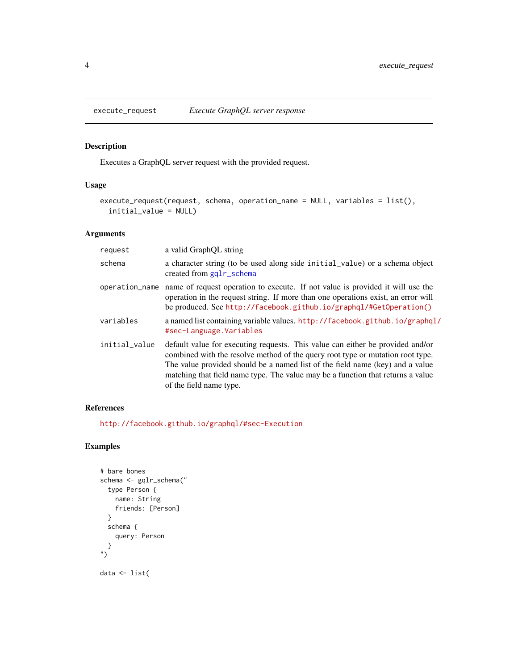<span id="page-3-1"></span><span id="page-3-0"></span>

## Description

Executes a GraphQL server request with the provided request.

## Usage

```
execute_request(request, schema, operation_name = NULL, variables = list(),
  initial_value = NULL)
```
### Arguments

| request        | a valid GraphOL string                                                                                                                                                                                                                                                                                                                                          |
|----------------|-----------------------------------------------------------------------------------------------------------------------------------------------------------------------------------------------------------------------------------------------------------------------------------------------------------------------------------------------------------------|
| schema         | a character string (to be used along side initial value) or a schema object<br>created from gqlr_schema                                                                                                                                                                                                                                                         |
| operation_name | name of request operation to execute. If not value is provided it will use the<br>operation in the request string. If more than one operations exist, an error will<br>be produced. See http://facebook.github.io/graphql/#GetOperation()                                                                                                                       |
| variables      | a named list containing variable values. http://facebook.github.io/graphql/<br>#sec-Language.Variables                                                                                                                                                                                                                                                          |
| initial_value  | default value for executing requests. This value can either be provided and/or<br>combined with the resolve method of the query root type or mutation root type.<br>The value provided should be a named list of the field name (key) and a value<br>matching that field name type. The value may be a function that returns a value<br>of the field name type. |

#### References

<http://facebook.github.io/graphql/#sec-Execution>

```
# bare bones
schema <- gqlr_schema("
  type Person {
   name: String
   friends: [Person]
  }
  schema {
   query: Person
  }
")
data <- list(
```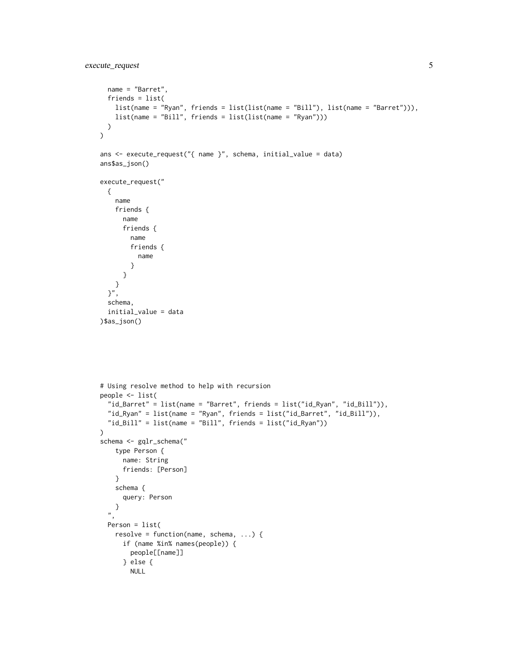```
name = "Barret",
  friends = list(
   list(name = "Ryan", friends = list(list(name = "Bill"), list(name = "Barret"))),
   list(name = "Bill", friends = list(list(name = "Ryan")))
 )
\mathcal{L}ans <- execute_request("{ name }", schema, initial_value = data)
ans$as_json()
execute_request("
 {
    name
    friends {
      name
      friends {
       name
        friends {
          name
        }
      }
   }
  }",
  schema,
  initial_value = data
)$as_json()
# Using resolve method to help with recursion
people <- list(
  "id_Barret" = list(name = "Barret", friends = list("id_Ryan", "id_Bill")),
  "id_Ryan" = list(name = "Ryan", friends = list("id_Barret", "id_Bill")),
  "id_Bill" = list(name = "Bill", friends = list("id_Ryan"))
\mathcal{L}schema <- gqlr_schema("
   type Person {
      name: String
      friends: [Person]
    }
    schema {
      query: Person
   }
  ",
  Person = list(
   resolve = function(name, schema, ...) {
      if (name %in% names(people)) {
        people[[name]]
      } else {
       NULL
```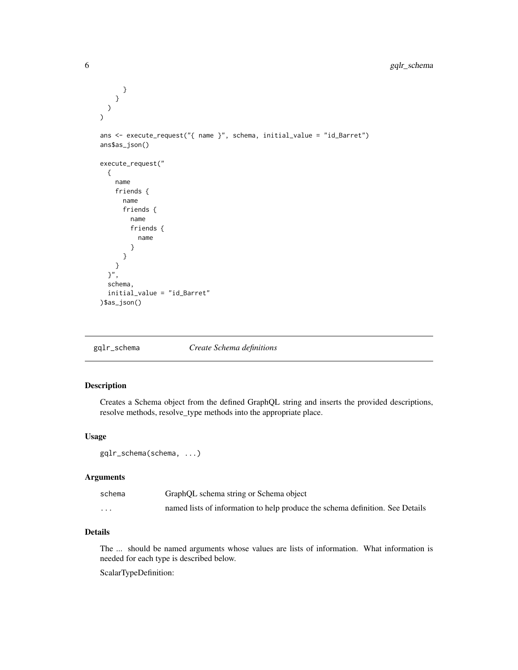```
}
    }
 )
\overline{\phantom{a}}ans <- execute_request("{ name }", schema, initial_value = "id_Barret")
ans$as_json()
execute_request("
  {
    name
    friends {
      name
      friends {
        name
        friends {
           name
         }
      }
    }
  }",
  schema,
  initial_value = "id_Barret"
)$as_json()
```
<span id="page-5-1"></span>gqlr\_schema *Create Schema definitions*

## Description

Creates a Schema object from the defined GraphQL string and inserts the provided descriptions, resolve methods, resolve\_type methods into the appropriate place.

## Usage

```
gqlr_schema(schema, ...)
```
### Arguments

| schema   | GraphQL schema string or Schema object                                        |
|----------|-------------------------------------------------------------------------------|
| $\cdots$ | named lists of information to help produce the schema definition. See Details |

## Details

The ... should be named arguments whose values are lists of information. What information is needed for each type is described below.

ScalarTypeDefinition: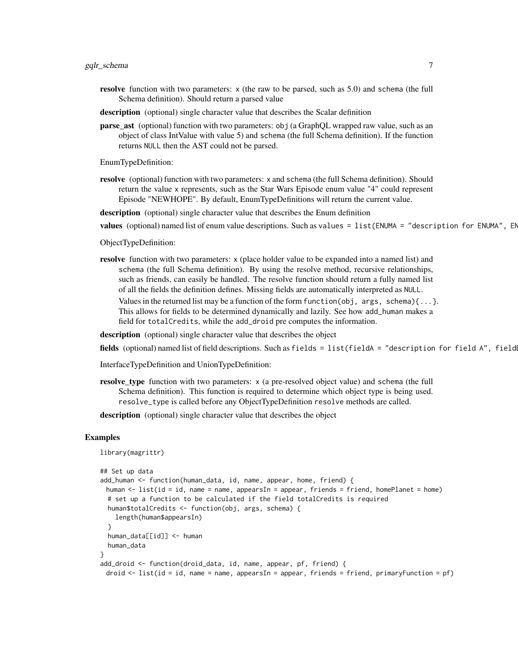- **resolve** function with two parameters:  $x$  (the raw to be parsed, such as 5.0) and schema (the full Schema definition). Should return a parsed value
- description (optional) single character value that describes the Scalar definition
- parse\_ast (optional) function with two parameters: obj (a GraphQL wrapped raw value, such as an object of class IntValue with value 5) and schema (the full Schema definition). If the function returns NULL then the AST could not be parsed.

EnumTypeDefinition:

- resolve (optional) function with two parameters: x and schema (the full Schema definition). Should return the value x represents, such as the Star Wars Episode enum value "4" could represent Episode "NEWHOPE". By default, EnumTypeDefinitions will return the current value.
- description (optional) single character value that describes the Enum definition
- values (optional) named list of enum value descriptions. Such as values =  $list(ENUMA = "description for ENUMA", Er$

ObjectTypeDefinition:

resolve function with two parameters: x (place holder value to be expanded into a named list) and schema (the full Schema definition). By using the resolve method, recursive relationships, such as friends, can easily be handled. The resolve function should return a fully named list of all the fields the definition defines. Missing fields are automatically interpreted as NULL. Values in the returned list may be a function of the form function(obj, args, schema) $\{ \ldots \}$ . This allows for fields to be determined dynamically and lazily. See how add\_human makes a field for totalCredits, while the add\_droid pre computes the information.

description (optional) single character value that describes the object

fields (optional) named list of field descriptions. Such as fields = list(fieldA = "description for field A", field

InterfaceTypeDefinition and UnionTypeDefinition:

- resolve\_type function with two parameters: x (a pre-resolved object value) and schema (the full Schema definition). This function is required to determine which object type is being used. resolve\_type is called before any ObjectTypeDefinition resolve methods are called.
- description (optional) single character value that describes the object

```
library(magrittr)
## Set up data
add_human <- function(human_data, id, name, appear, home, friend) {
 human <- list(id = id, name = name, appearsIn = appear, friends = friend, homePlanet = home)
 # set up a function to be calculated if the field totalCredits is required
 human$totalCredits <- function(obj, args, schema) {
   length(human$appearsIn)
  }
 human_data[[id]] <- human
 human_data
}
add_droid <- function(droid_data, id, name, appear, pf, friend) {
 droid <- list(id = id, name = name, appearsIn = appear, friends = friend, primaryFunction = pf)
```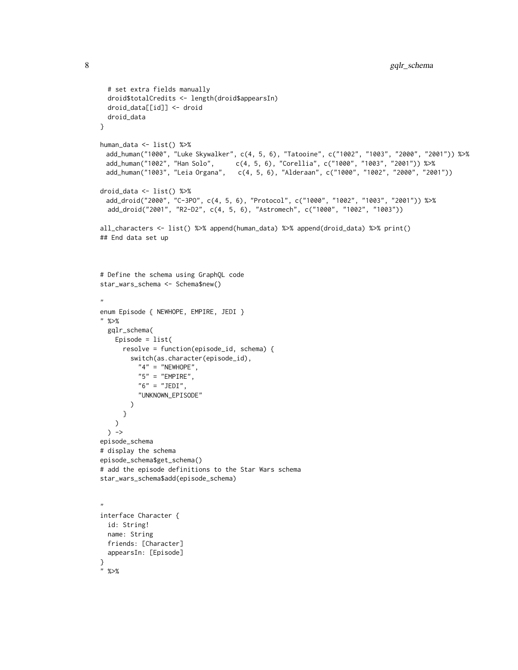```
# set extra fields manually
 droid$totalCredits <- length(droid$appearsIn)
 droid_data[[id]] <- droid
 droid_data
}
human_data <- list() %>%
 add_human("1000", "Luke Skywalker", c(4, 5, 6), "Tatooine", c("1002", "1003", "2000", "2001")) %>%
 add_human("1002", "Han Solo", c(4, 5, 6), "Corellia", c("1000", "1003", "2001")) %>%
 add_human("1003", "Leia Organa", c(4, 5, 6), "Alderaan", c("1000", "1002", "2000", "2001"))
droid_data <- list() %>%
 add_droid("2000", "C-3PO", c(4, 5, 6), "Protocol", c("1000", "1002", "1003", "2001")) %>%
  add_droid("2001", "R2-D2", c(4, 5, 6), "Astromech", c("1000", "1002", "1003"))
all_characters <- list() %>% append(human_data) %>% append(droid_data) %>% print()
## End data set up
# Define the schema using GraphQL code
star_wars_schema <- Schema$new()
"
enum Episode { NEWHOPE, EMPIRE, JEDI }
" %>%
 gqlr_schema(
   Episode = list(
     resolve = function(episode_id, schema) {
       switch(as.character(episode_id),
          "4" = "NEWHOPE","5" = "ENTER",
          "6" = "JEDI","UNKNOWN_EPISODE"
       )
     }
   \lambda) ->
episode_schema
# display the schema
episode_schema$get_schema()
# add the episode definitions to the Star Wars schema
star_wars_schema$add(episode_schema)
,,
interface Character {
 id: String!
 name: String
 friends: [Character]
 appearsIn: [Episode]
}
" %>%
```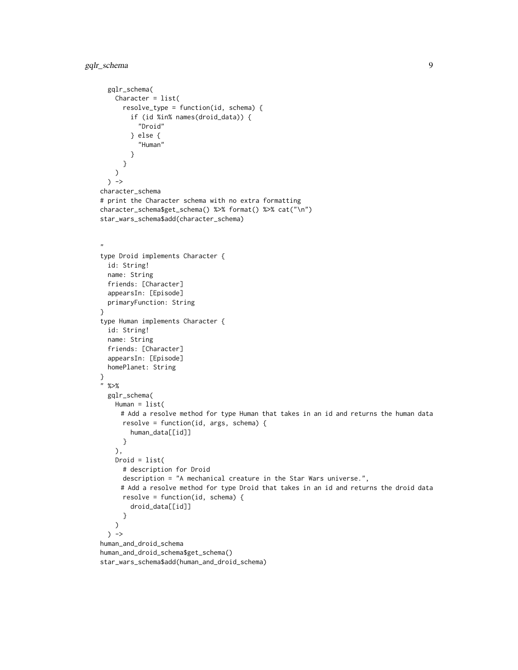```
gqlr_schema(
   Character = list(
     resolve_type = function(id, schema) {
       if (id %in% names(droid_data)) {
          "Droid"
        } else {
          "Human"
       }
     }
   )
 ) ->
character_schema
# print the Character schema with no extra formatting
character_schema$get_schema() %>% format() %>% cat("\n")
star_wars_schema$add(character_schema)
"
type Droid implements Character {
 id: String!
 name: String
 friends: [Character]
 appearsIn: [Episode]
 primaryFunction: String
}
type Human implements Character {
 id: String!
 name: String
 friends: [Character]
 appearsIn: [Episode]
 homePlanet: String
}
" %>%
 gqlr_schema(
   Human = list(
     # Add a resolve method for type Human that takes in an id and returns the human data
     resolve = function(id, args, schema) {
        human_data[[id]]
     }
   ),
   Droid = list(# description for Droid
     description = "A mechanical creature in the Star Wars universe.",
     # Add a resolve method for type Droid that takes in an id and returns the droid data
     resolve = function(id, schema) {
        droid_data[[id]]
     }
   )
 ) ->
human_and_droid_schema
human_and_droid_schema$get_schema()
star_wars_schema$add(human_and_droid_schema)
```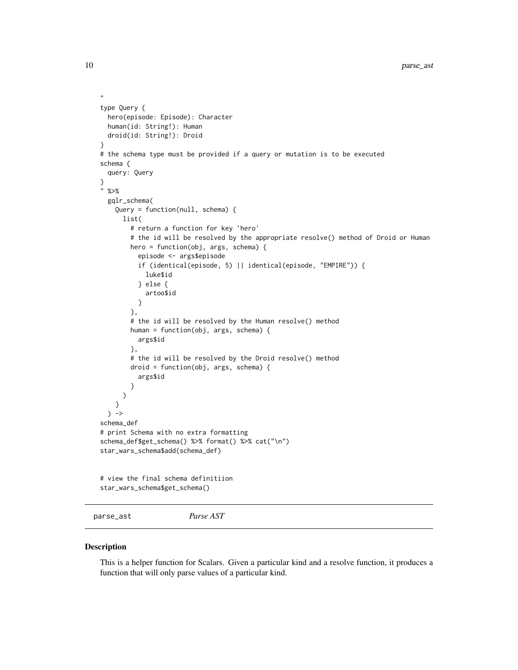```
type Query {
 hero(episode: Episode): Character
 human(id: String!): Human
 droid(id: String!): Droid
}
# the schema type must be provided if a query or mutation is to be executed
schema {
 query: Query
}
" %>%
 gqlr_schema(
    Query = function(null, schema) {
     list(
        # return a function for key 'hero'
        # the id will be resolved by the appropriate resolve() method of Droid or Human
       hero = function(obj, args, schema) {
          episode <- args$episode
          if (identical(episode, 5) || identical(episode, "EMPIRE")) {
            luke$id
          } else {
            artoo$id
          }
        },
        # the id will be resolved by the Human resolve() method
        human = function(obj, args, schema) {
         args$id
        },
        # the id will be resolved by the Droid resolve() method
        droid = function(obj, args, schema) {
         args$id
        }
     )
   }
 ) ->
schema_def
# print Schema with no extra formatting
schema_def$get_schema() %>% format() %>% cat("\n")
star_wars_schema$add(schema_def)
# view the final schema definitiion
star_wars_schema$get_schema()
```

```
parse_ast Parse AST
```
#### Description

This is a helper function for Scalars. Given a particular kind and a resolve function, it produces a function that will only parse values of a particular kind.

<span id="page-9-0"></span>

,,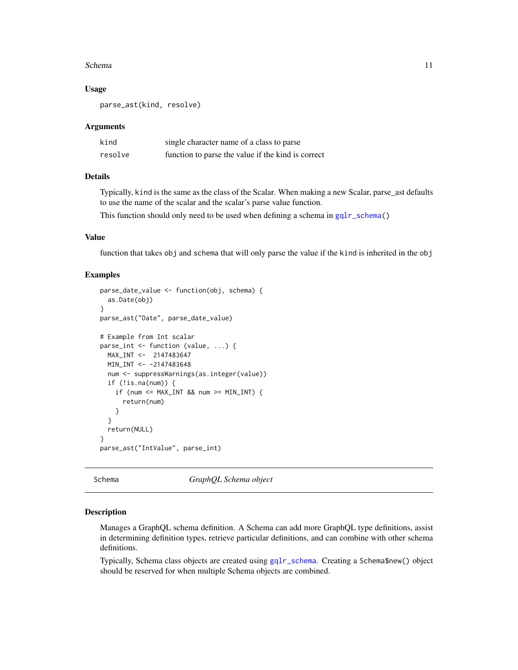#### <span id="page-10-0"></span>Schema 11

#### Usage

parse\_ast(kind, resolve)

#### Arguments

| kind    | single character name of a class to parse          |
|---------|----------------------------------------------------|
| resolve | function to parse the value if the kind is correct |

## Details

Typically, kind is the same as the class of the Scalar. When making a new Scalar, parse\_ast defaults to use the name of the scalar and the scalar's parse value function.

This function should only need to be used when defining a schema in [gqlr\\_schema\(](#page-5-1))

## Value

function that takes obj and schema that will only parse the value if the kind is inherited in the obj

## Examples

```
parse_date_value <- function(obj, schema) {
 as.Date(obj)
}
parse_ast("Date", parse_date_value)
# Example from Int scalar
parse_int <- function (value, ...) {
 MAX_INT <- 2147483647
 MIN_INT <- -2147483648
 num <- suppressWarnings(as.integer(value))
 if (!is.na(num)) {
    if (num <= MAX_INT 8& num >= MIN_INT  {
      return(num)
    }
 }
 return(NULL)
}
parse_ast("IntValue", parse_int)
```
Schema *GraphQL Schema object*

#### Description

Manages a GraphQL schema definition. A Schema can add more GraphQL type definitions, assist in determining definition types, retrieve particular definitions, and can combine with other schema definitions.

Typically, Schema class objects are created using [gqlr\\_schema](#page-5-1). Creating a Schema\$new() object should be reserved for when multiple Schema objects are combined.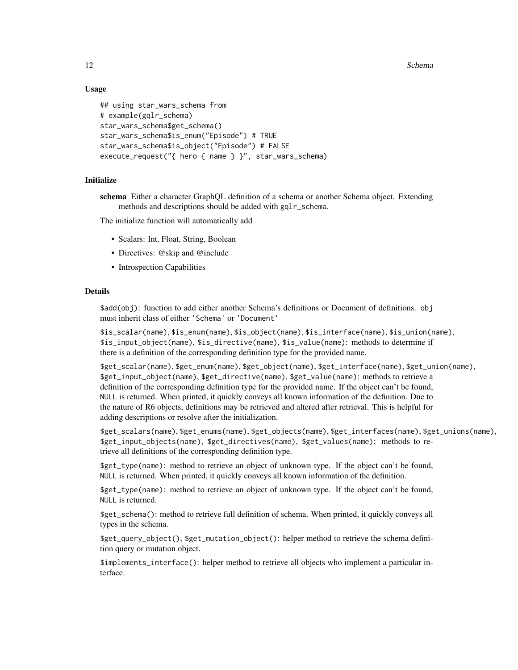12 Schema and the set of the set of the set of the set of the set of the set of the set of the set of the set of the set of the set of the set of the set of the set of the set of the set of the set of the set of the set of

### Usage

```
## using star_wars_schema from
# example(gqlr_schema)
star_wars_schema$get_schema()
star_wars_schema$is_enum("Episode") # TRUE
star_wars_schema$is_object("Episode") # FALSE
execute_request("{ hero { name } }", star_wars_schema)
```
### Initialize

schema Either a character GraphQL definition of a schema or another Schema object. Extending methods and descriptions should be added with gqlr\_schema.

The initialize function will automatically add

- Scalars: Int, Float, String, Boolean
- Directives: @skip and @include
- Introspection Capabilities

#### Details

\$add(obj): function to add either another Schema's definitions or Document of definitions. obj must inherit class of either 'Schema' or 'Document'

\$is\_scalar(name), \$is\_enum(name), \$is\_object(name), \$is\_interface(name), \$is\_union(name), \$is\_input\_object(name), \$is\_directive(name), \$is\_value(name): methods to determine if there is a definition of the corresponding definition type for the provided name.

\$get\_scalar(name), \$get\_enum(name), \$get\_object(name), \$get\_interface(name), \$get\_union(name), \$get\_input\_object(name), \$get\_directive(name), \$get\_value(name): methods to retrieve a definition of the corresponding definition type for the provided name. If the object can't be found, NULL is returned. When printed, it quickly conveys all known information of the definition. Due to the nature of R6 objects, definitions may be retrieved and altered after retrieval. This is helpful for adding descriptions or resolve after the initialization.

\$get\_scalars(name), \$get\_enums(name), \$get\_objects(name), \$get\_interfaces(name), \$get\_unions(name), \$get\_input\_objects(name), \$get\_directives(name), \$get\_values(name): methods to retrieve all definitions of the corresponding definition type.

\$get\_type(name): method to retrieve an object of unknown type. If the object can't be found, NULL is returned. When printed, it quickly conveys all known information of the definition.

\$get\_type(name): method to retrieve an object of unknown type. If the object can't be found, NULL is returned.

\$get\_schema(): method to retrieve full definition of schema. When printed, it quickly conveys all types in the schema.

\$get\_query\_object(), \$get\_mutation\_object(): helper method to retrieve the schema definition query or mutation object.

\$implements\_interface(): helper method to retrieve all objects who implement a particular interface.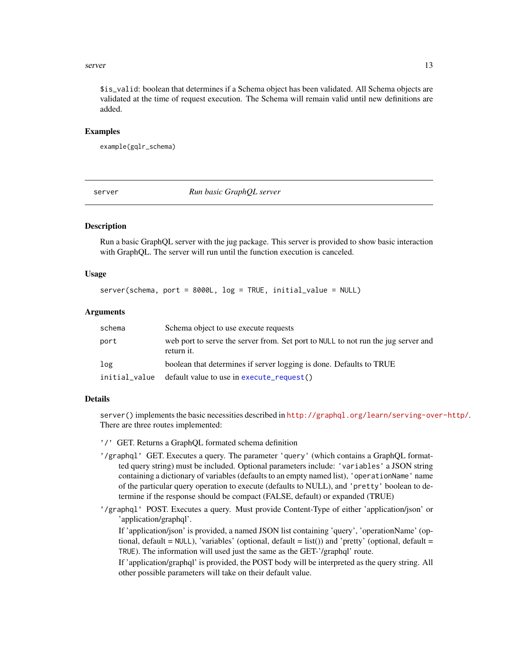#### <span id="page-12-0"></span>server the contract of the contract of the contract of the contract of the contract of the contract of the contract of the contract of the contract of the contract of the contract of the contract of the contract of the con

\$is\_valid: boolean that determines if a Schema object has been validated. All Schema objects are validated at the time of request execution. The Schema will remain valid until new definitions are added.

### Examples

```
example(gqlr_schema)
```
server *Run basic GraphQL server*

#### **Description**

Run a basic GraphQL server with the jug package. This server is provided to show basic interaction with GraphQL. The server will run until the function execution is canceled.

#### Usage

```
server(schema, port = 8000L, log = TRUE, initial_value = NULL)
```
### Arguments

| schema        | Schema object to use execute requests                                                           |
|---------------|-------------------------------------------------------------------------------------------------|
| port          | web port to serve the server from. Set port to NULL to not run the jug server and<br>return it. |
| log           | boolean that determines if server logging is done. Defaults to TRUE                             |
| initial_value | default value to use in execute_request()                                                       |

#### Details

server() implements the basic necessities described in <http://graphql.org/learn/serving-over-http/>. There are three routes implemented:

'/' GET. Returns a GraphQL formated schema definition

- '/graphql' GET. Executes a query. The parameter 'query' (which contains a GraphQL formatted query string) must be included. Optional parameters include: 'variables' a JSON string containing a dictionary of variables (defaults to an empty named list), 'operationName' name of the particular query operation to execute (defaults to NULL), and 'pretty' boolean to determine if the response should be compact (FALSE, default) or expanded (TRUE)
- '/graphql' POST. Executes a query. Must provide Content-Type of either 'application/json' or 'application/graphql'.

If 'application/json' is provided, a named JSON list containing 'query', 'operationName' (optional, default =  $NULL$ ), 'variables' (optional, default = list()) and 'pretty' (optional, default = TRUE). The information will used just the same as the GET-'/graphql' route.

If 'application/graphql' is provided, the POST body will be interpreted as the query string. All other possible parameters will take on their default value.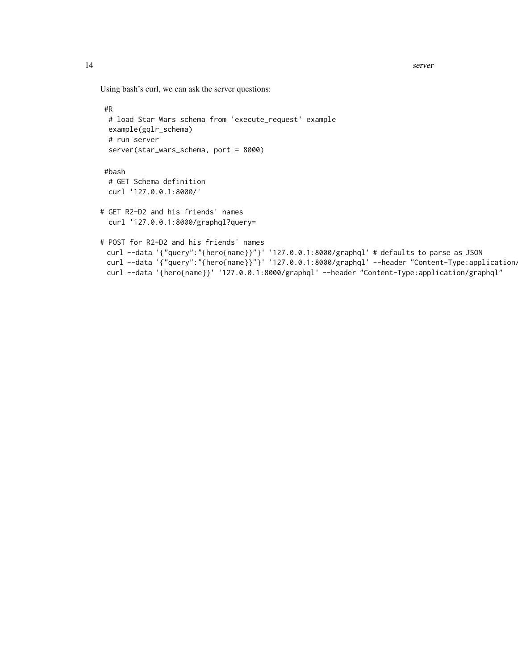Using bash's curl, we can ask the server questions:

```
#R
 # load Star Wars schema from 'execute_request' example
 example(gqlr_schema)
 # run server
 server(star_wars_schema, port = 8000)
#bash
 # GET Schema definition
 curl '127.0.0.1:8000/'
# GET R2-D2 and his friends' names
 curl '127.0.0.1:8000/graphql?query=
# POST for R2-D2 and his friends' names
 curl --data '{"query":"{hero{name}}"}' '127.0.0.1:8000/graphql' # defaults to parse as JSON
 curl --data '{"query":"{hero{name}}"}' '127.0.0.1:8000/graphql' --header "Content-Type:application,
 curl --data '{hero{name}}' '127.0.0.1:8000/graphql' --header "Content-Type:application/graphql"
```